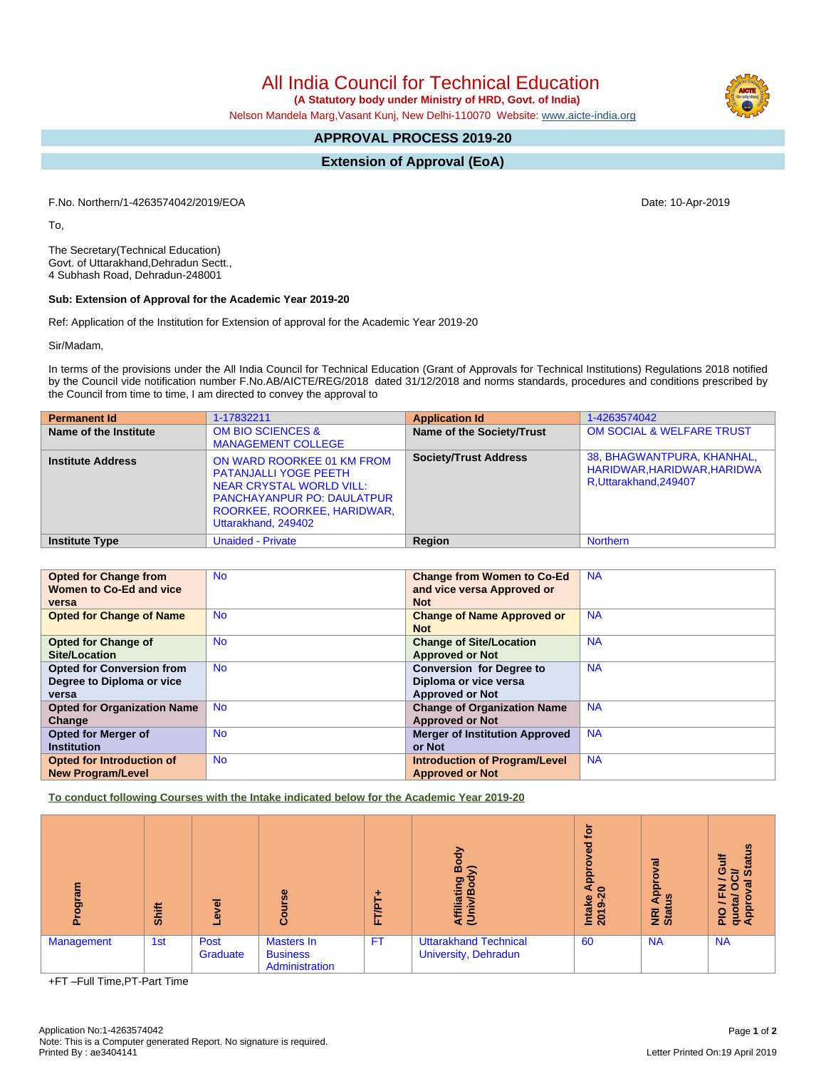All India Council for Technical Education

 **(A Statutory body under Ministry of HRD, Govt. of India)**

Nelson Mandela Marg,Vasant Kunj, New Delhi-110070 Website: [www.aicte-india.org](http://www.aicte-india.org)

# **APPROVAL PROCESS 2019-20**

**Extension of Approval (EoA)**

F.No. Northern/1-4263574042/2019/EOA Date: 10-Apr-2019

To,

The Secretary(Technical Education) Govt. of Uttarakhand,Dehradun Sectt., 4 Subhash Road, Dehradun-248001

#### **Sub: Extension of Approval for the Academic Year 2019-20**

Ref: Application of the Institution for Extension of approval for the Academic Year 2019-20

Sir/Madam,

In terms of the provisions under the All India Council for Technical Education (Grant of Approvals for Technical Institutions) Regulations 2018 notified by the Council vide notification number F.No.AB/AICTE/REG/2018 dated 31/12/2018 and norms standards, procedures and conditions prescribed by the Council from time to time, I am directed to convey the approval to

| <b>Permanent Id</b>      | 1-17832211                                                                                                                                                                        | <b>Application Id</b>        | 1-4263574042                                                                        |
|--------------------------|-----------------------------------------------------------------------------------------------------------------------------------------------------------------------------------|------------------------------|-------------------------------------------------------------------------------------|
| Name of the Institute    | <b>OM BIO SCIENCES &amp;</b><br><b>MANAGEMENT COLLEGE</b>                                                                                                                         | Name of the Society/Trust    | OM SOCIAL & WELFARE TRUST                                                           |
| <b>Institute Address</b> | ON WARD ROORKEE 01 KM FROM<br><b>PATANJALLI YOGE PEETH</b><br>NEAR CRYSTAL WORLD VILL:<br><b>PANCHAYANPUR PO: DAULATPUR</b><br>ROORKEE, ROORKEE, HARIDWAR,<br>Uttarakhand, 249402 | <b>Society/Trust Address</b> | 38, BHAGWANTPURA, KHANHAL,<br>HARIDWAR, HARIDWAR, HARIDWA<br>R, Uttarakhand, 249407 |
| <b>Institute Type</b>    | <b>Unaided - Private</b>                                                                                                                                                          | <b>Region</b>                | <b>Northern</b>                                                                     |

| <b>Opted for Change from</b>       | <b>No</b> | <b>Change from Women to Co-Ed</b>     | <b>NA</b> |
|------------------------------------|-----------|---------------------------------------|-----------|
| Women to Co-Ed and vice            |           | and vice versa Approved or            |           |
| versa                              |           | <b>Not</b>                            |           |
| <b>Opted for Change of Name</b>    | <b>No</b> | <b>Change of Name Approved or</b>     | <b>NA</b> |
|                                    |           | <b>Not</b>                            |           |
| <b>Opted for Change of</b>         | <b>No</b> | <b>Change of Site/Location</b>        | <b>NA</b> |
| Site/Location                      |           | <b>Approved or Not</b>                |           |
| <b>Opted for Conversion from</b>   | <b>No</b> | <b>Conversion for Degree to</b>       | <b>NA</b> |
| Degree to Diploma or vice          |           | Diploma or vice versa                 |           |
| versa                              |           | <b>Approved or Not</b>                |           |
| <b>Opted for Organization Name</b> | <b>No</b> | <b>Change of Organization Name</b>    | <b>NA</b> |
| Change                             |           | <b>Approved or Not</b>                |           |
| Opted for Merger of                | <b>No</b> | <b>Merger of Institution Approved</b> | <b>NA</b> |
| <b>Institution</b>                 |           | or Not                                |           |
| <b>Opted for Introduction of</b>   | <b>No</b> | <b>Introduction of Program/Level</b>  | <b>NA</b> |
| <b>New Program/Level</b>           |           | <b>Approved or Not</b>                |           |

**To conduct following Courses with the Intake indicated below for the Academic Year 2019-20**

| ā<br>ā     | Shift | $\overline{g}$<br>$\ddot{\mathbf{e}}$ | rse<br>Б<br>ပ္ပြ                                       | FTP       | ŏ.<br>ත<br>jati<br>ξĒ                                | ₫<br>ᄝ<br>a<br>App<br><b>Intake</b><br>2019-2 | ड़<br>ē<br>윤<br><b>SD</b><br><b>E</b> at | <b>Status</b><br>O<br>≃<br>ℼ<br>z<br>O<br>щ.<br>ε<br>quot<br>Appr<br><b>PIO</b> |
|------------|-------|---------------------------------------|--------------------------------------------------------|-----------|------------------------------------------------------|-----------------------------------------------|------------------------------------------|---------------------------------------------------------------------------------|
| Management | 1st   | Post<br>Graduate                      | <b>Masters In</b><br><b>Business</b><br>Administration | <b>FT</b> | <b>Uttarakhand Technical</b><br>University, Dehradun | 60                                            | <b>NA</b>                                | <b>NA</b>                                                                       |

+FT –Full Time,PT-Part Time